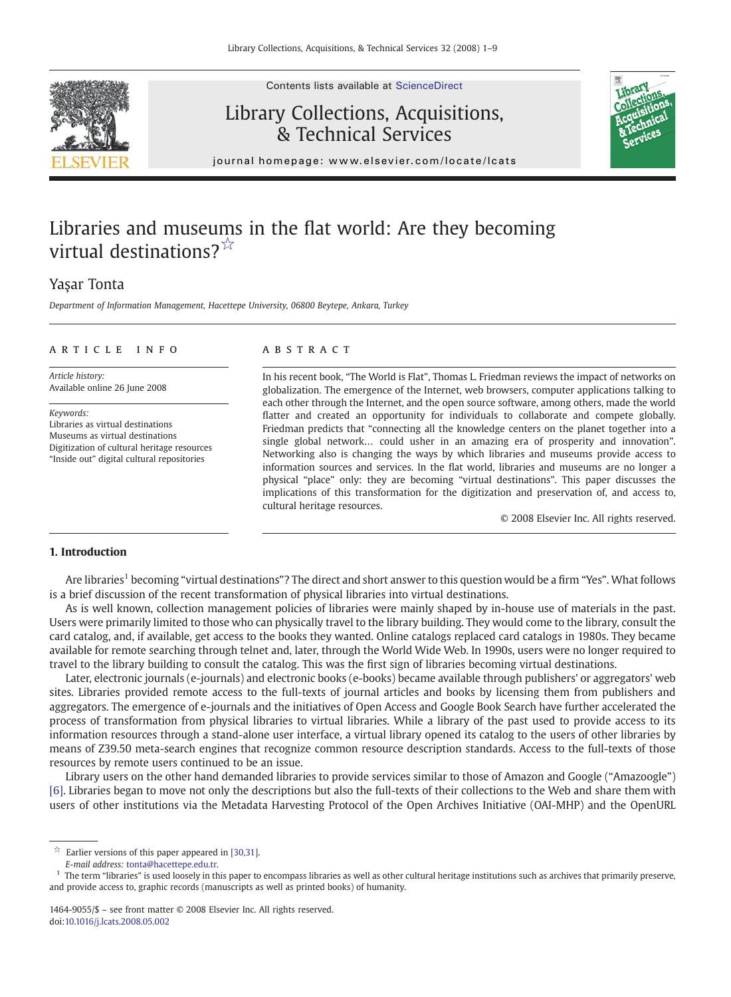

Contents lists available at ScienceDirect

## Library Collections, Acquisitions, & Technical Services



journal homepage: www.elsevier.com/locate/lcats j o u r n a g e  $\mathbf{r}$  . We are evident to the  $\mathbf{r}$ 

# Libraries and museums in the flat world: Are they becoming virtual destinations?☆

## Yaşar Tonta

Department of Information Management, Hacettepe University, 06800 Beytepe, Ankara, Turkey

#### article info abstract

Article history: Available online 26 June 2008

Keywords: Libraries as virtual destinations Museums as virtual destinations Digitization of cultural heritage resources "Inside out" digital cultural repositories

In his recent book, "The World is Flat", Thomas L. Friedman reviews the impact of networks on globalization. The emergence of the Internet, web browsers, computer applications talking to each other through the Internet, and the open source software, among others, made the world flatter and created an opportunity for individuals to collaborate and compete globally. Friedman predicts that "connecting all the knowledge centers on the planet together into a single global network… could usher in an amazing era of prosperity and innovation". Networking also is changing the ways by which libraries and museums provide access to information sources and services. In the flat world, libraries and museums are no longer a physical "place" only: they are becoming "virtual destinations". This paper discusses the implications of this transformation for the digitization and preservation of, and access to, cultural heritage resources.

© 2008 Elsevier Inc. All rights reserved.

#### 1. Introduction

Are libraries<sup>1</sup> becoming "virtual destinations"? The direct and short answer to this question would be a firm "Yes". What follows is a brief discussion of the recent transformation of physical libraries into virtual destinations.

As is well known, collection management policies of libraries were mainly shaped by in-house use of materials in the past. Users were primarily limited to those who can physically travel to the library building. They would come to the library, consult the card catalog, and, if available, get access to the books they wanted. Online catalogs replaced card catalogs in 1980s. They became available for remote searching through telnet and, later, through the World Wide Web. In 1990s, users were no longer required to travel to the library building to consult the catalog. This was the first sign of libraries becoming virtual destinations.

Later, electronic journals (e-journals) and electronic books (e-books) became available through publishers' or aggregators' web sites. Libraries provided remote access to the full-texts of journal articles and books by licensing them from publishers and aggregators. The emergence of e-journals and the initiatives of Open Access and Google Book Search have further accelerated the process of transformation from physical libraries to virtual libraries. While a library of the past used to provide access to its information resources through a stand-alone user interface, a virtual library opened its catalog to the users of other libraries by means of Z39.50 meta-search engines that recognize common resource description standards. Access to the full-texts of those resources by remote users continued to be an issue.

Library users on the other hand demanded libraries to provide services similar to those of Amazon and Google ("Amazoogle") [\[6\]](#page-7-0). Libraries began to move not only the descriptions but also the full-texts of their collections to the Web and share them with users of other institutions via the Metadata Harvesting Protocol of the Open Archives Initiative (OAI-MHP) and the OpenURL

 $\overrightarrow{x}$  Earlier versions of this paper appeared in [\[30,31\]](#page-8-0).

E-mail address: [tonta@hacettepe.edu.tr.](mailto:tonta@hacettepe.edu.tr)

 $<sup>1</sup>$  The term "libraries" is used loosely in this paper to encompass libraries as well as other cultural heritage institutions such as archives that primarily preserve,</sup> and provide access to, graphic records (manuscripts as well as printed books) of humanity.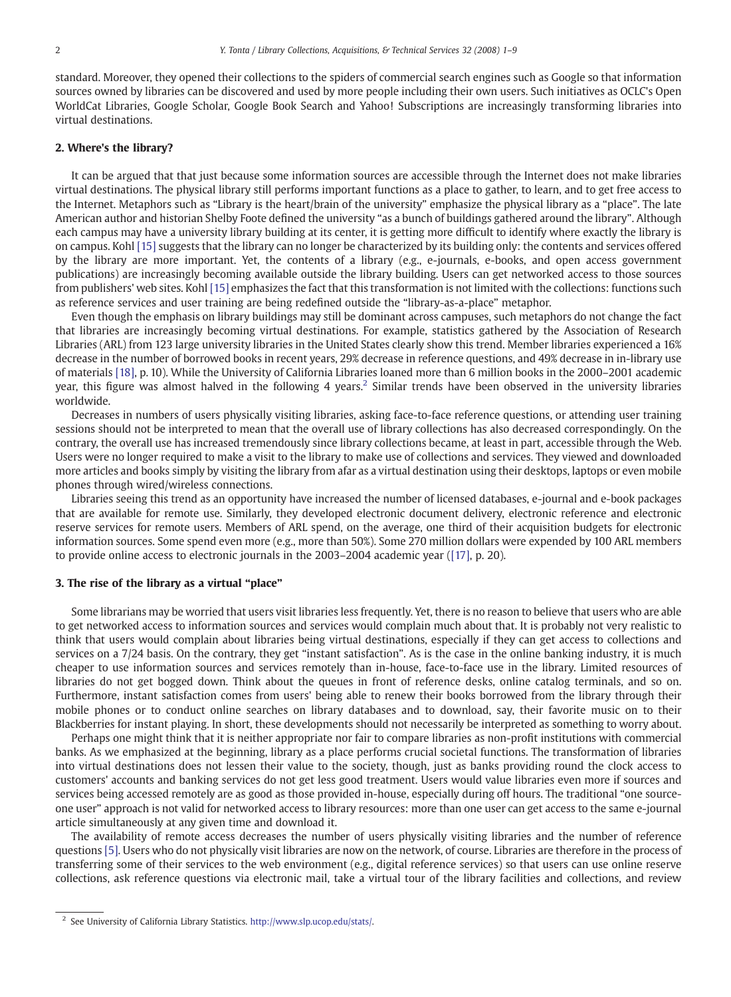standard. Moreover, they opened their collections to the spiders of commercial search engines such as Google so that information sources owned by libraries can be discovered and used by more people including their own users. Such initiatives as OCLC's Open WorldCat Libraries, Google Scholar, Google Book Search and Yahoo! Subscriptions are increasingly transforming libraries into virtual destinations.

#### 2. Where's the library?

It can be argued that that just because some information sources are accessible through the Internet does not make libraries virtual destinations. The physical library still performs important functions as a place to gather, to learn, and to get free access to the Internet. Metaphors such as "Library is the heart/brain of the university" emphasize the physical library as a "place". The late American author and historian Shelby Foote defined the university "as a bunch of buildings gathered around the library". Although each campus may have a university library building at its center, it is getting more difficult to identify where exactly the library is on campus. Kohl [\[15\]](#page-7-0) suggests that the library can no longer be characterized by its building only: the contents and services offered by the library are more important. Yet, the contents of a library (e.g., e-journals, e-books, and open access government publications) are increasingly becoming available outside the library building. Users can get networked access to those sources from publishers' web sites. Kohl [\[15\]](#page-7-0) emphasizes the fact that this transformation is not limited with the collections: functions such as reference services and user training are being redefined outside the "library-as-a-place" metaphor.

Even though the emphasis on library buildings may still be dominant across campuses, such metaphors do not change the fact that libraries are increasingly becoming virtual destinations. For example, statistics gathered by the Association of Research Libraries (ARL) from 123 large university libraries in the United States clearly show this trend. Member libraries experienced a 16% decrease in the number of borrowed books in recent years, 29% decrease in reference questions, and 49% decrease in in-library use of materials [\[18\]](#page-8-0), p. 10). While the University of California Libraries loaned more than 6 million books in the 2000–2001 academic year, this figure was almost halved in the following 4 years.<sup>2</sup> Similar trends have been observed in the university libraries worldwide.

Decreases in numbers of users physically visiting libraries, asking face-to-face reference questions, or attending user training sessions should not be interpreted to mean that the overall use of library collections has also decreased correspondingly. On the contrary, the overall use has increased tremendously since library collections became, at least in part, accessible through the Web. Users were no longer required to make a visit to the library to make use of collections and services. They viewed and downloaded more articles and books simply by visiting the library from afar as a virtual destination using their desktops, laptops or even mobile phones through wired/wireless connections.

Libraries seeing this trend as an opportunity have increased the number of licensed databases, e-journal and e-book packages that are available for remote use. Similarly, they developed electronic document delivery, electronic reference and electronic reserve services for remote users. Members of ARL spend, on the average, one third of their acquisition budgets for electronic information sources. Some spend even more (e.g., more than 50%). Some 270 million dollars were expended by 100 ARL members to provide online access to electronic journals in the 2003–2004 academic year ([\[17\],](#page-8-0) p. 20).

#### 3. The rise of the library as a virtual "place"

Some librarians may be worried that users visit libraries less frequently. Yet, there is no reason to believe that users who are able to get networked access to information sources and services would complain much about that. It is probably not very realistic to think that users would complain about libraries being virtual destinations, especially if they can get access to collections and services on a 7/24 basis. On the contrary, they get "instant satisfaction". As is the case in the online banking industry, it is much cheaper to use information sources and services remotely than in-house, face-to-face use in the library. Limited resources of libraries do not get bogged down. Think about the queues in front of reference desks, online catalog terminals, and so on. Furthermore, instant satisfaction comes from users' being able to renew their books borrowed from the library through their mobile phones or to conduct online searches on library databases and to download, say, their favorite music on to their Blackberries for instant playing. In short, these developments should not necessarily be interpreted as something to worry about.

Perhaps one might think that it is neither appropriate nor fair to compare libraries as non-profit institutions with commercial banks. As we emphasized at the beginning, library as a place performs crucial societal functions. The transformation of libraries into virtual destinations does not lessen their value to the society, though, just as banks providing round the clock access to customers' accounts and banking services do not get less good treatment. Users would value libraries even more if sources and services being accessed remotely are as good as those provided in-house, especially during off hours. The traditional "one sourceone user" approach is not valid for networked access to library resources: more than one user can get access to the same e-journal article simultaneously at any given time and download it.

The availability of remote access decreases the number of users physically visiting libraries and the number of reference questions [\[5\].](#page-7-0) Users who do not physically visit libraries are now on the network, of course. Libraries are therefore in the process of transferring some of their services to the web environment (e.g., digital reference services) so that users can use online reserve collections, ask reference questions via electronic mail, take a virtual tour of the library facilities and collections, and review

<sup>2</sup> See University of California Library Statistics. <http://www.slp.ucop.edu/stats/>.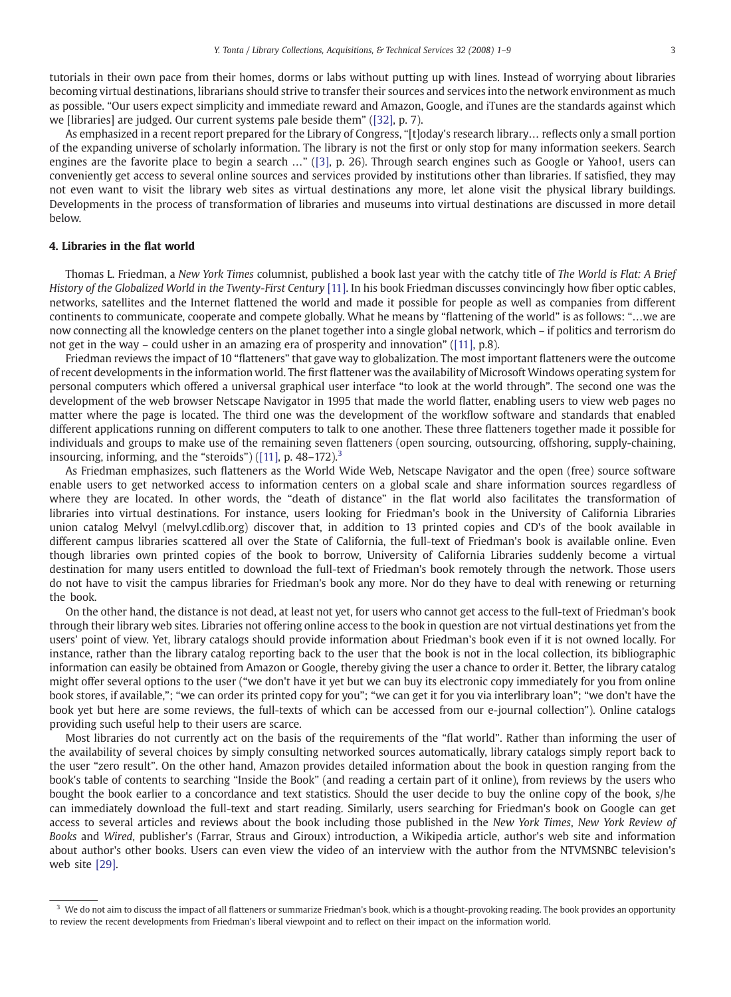tutorials in their own pace from their homes, dorms or labs without putting up with lines. Instead of worrying about libraries becoming virtual destinations, librarians should strive to transfer their sources and services into the network environment as much as possible. "Our users expect simplicity and immediate reward and Amazon, Google, and iTunes are the standards against which we [libraries] are judged. Our current systems pale beside them" ([\[32\],](http://libraries.universityofcalifornia.edu/sopag/BSTF/Final.pdf) p. 7).

As emphasized in a recent report prepared for the Library of Congress, "[t]oday's research library… reflects only a small portion of the expanding universe of scholarly information. The library is not the first or only stop for many information seekers. Search engines are the favorite place to begin a search …" ([\[3\]](#page-7-0), p. 26). Through search engines such as Google or Yahoo!, users can conveniently get access to several online sources and services provided by institutions other than libraries. If satisfied, they may not even want to visit the library web sites as virtual destinations any more, let alone visit the physical library buildings. Developments in the process of transformation of libraries and museums into virtual destinations are discussed in more detail below.

#### 4. Libraries in the flat world

Thomas L. Friedman, a New York Times columnist, published a book last year with the catchy title of The World is Flat: A Brief History of the Globalized World in the Twenty-First Century [\[11\].](#page-7-0) In his book Friedman discusses convincingly how fiber optic cables, networks, satellites and the Internet flattened the world and made it possible for people as well as companies from different continents to communicate, cooperate and compete globally. What he means by "flattening of the world" is as follows: "…we are now connecting all the knowledge centers on the planet together into a single global network, which – if politics and terrorism do not get in the way – could usher in an amazing era of prosperity and innovation" [\(\[11\]](#page-7-0), p.8).

Friedman reviews the impact of 10 "flatteners" that gave way to globalization. The most important flatteners were the outcome of recent developments in the information world. The first flattener was the availability of Microsoft Windows operating system for personal computers which offered a universal graphical user interface "to look at the world through". The second one was the development of the web browser Netscape Navigator in 1995 that made the world flatter, enabling users to view web pages no matter where the page is located. The third one was the development of the workflow software and standards that enabled different applications running on different computers to talk to one another. These three flatteners together made it possible for individuals and groups to make use of the remaining seven flatteners (open sourcing, outsourcing, offshoring, supply-chaining, insourcing, informing, and the "steroids") [\(\[11\]](#page-7-0), p.  $48-172$ ).<sup>3</sup>

As Friedman emphasizes, such flatteners as the World Wide Web, Netscape Navigator and the open (free) source software enable users to get networked access to information centers on a global scale and share information sources regardless of where they are located. In other words, the "death of distance" in the flat world also facilitates the transformation of libraries into virtual destinations. For instance, users looking for Friedman's book in the University of California Libraries union catalog Melvyl (melvyl.cdlib.org) discover that, in addition to 13 printed copies and CD's of the book available in different campus libraries scattered all over the State of California, the full-text of Friedman's book is available online. Even though libraries own printed copies of the book to borrow, University of California Libraries suddenly become a virtual destination for many users entitled to download the full-text of Friedman's book remotely through the network. Those users do not have to visit the campus libraries for Friedman's book any more. Nor do they have to deal with renewing or returning the book.

On the other hand, the distance is not dead, at least not yet, for users who cannot get access to the full-text of Friedman's book through their library web sites. Libraries not offering online access to the book in question are not virtual destinations yet from the users' point of view. Yet, library catalogs should provide information about Friedman's book even if it is not owned locally. For instance, rather than the library catalog reporting back to the user that the book is not in the local collection, its bibliographic information can easily be obtained from Amazon or Google, thereby giving the user a chance to order it. Better, the library catalog might offer several options to the user ("we don't have it yet but we can buy its electronic copy immediately for you from online book stores, if available,"; "we can order its printed copy for you"; "we can get it for you via interlibrary loan"; "we don't have the book yet but here are some reviews, the full-texts of which can be accessed from our e-journal collection"). Online catalogs providing such useful help to their users are scarce.

Most libraries do not currently act on the basis of the requirements of the "flat world". Rather than informing the user of the availability of several choices by simply consulting networked sources automatically, library catalogs simply report back to the user "zero result". On the other hand, Amazon provides detailed information about the book in question ranging from the book's table of contents to searching "Inside the Book" (and reading a certain part of it online), from reviews by the users who bought the book earlier to a concordance and text statistics. Should the user decide to buy the online copy of the book, s/he can immediately download the full-text and start reading. Similarly, users searching for Friedman's book on Google can get access to several articles and reviews about the book including those published in the New York Times, New York Review of Books and Wired, publisher's (Farrar, Straus and Giroux) introduction, a Wikipedia article, author's web site and information about author's other books. Users can even view the video of an interview with the author from the NTVMSNBC television's web site [\[29\]](http://yunus.hacettepe.edu.tr/~tonta/yayinlar/tonta-ab-2006-bilgi-yonetiminde-son-gelismeler.pdf).

 $3\,$  We do not aim to discuss the impact of all flatteners or summarize Friedman's book, which is a thought-provoking reading. The book provides an opportunity to review the recent developments from Friedman's liberal viewpoint and to reflect on their impact on the information world.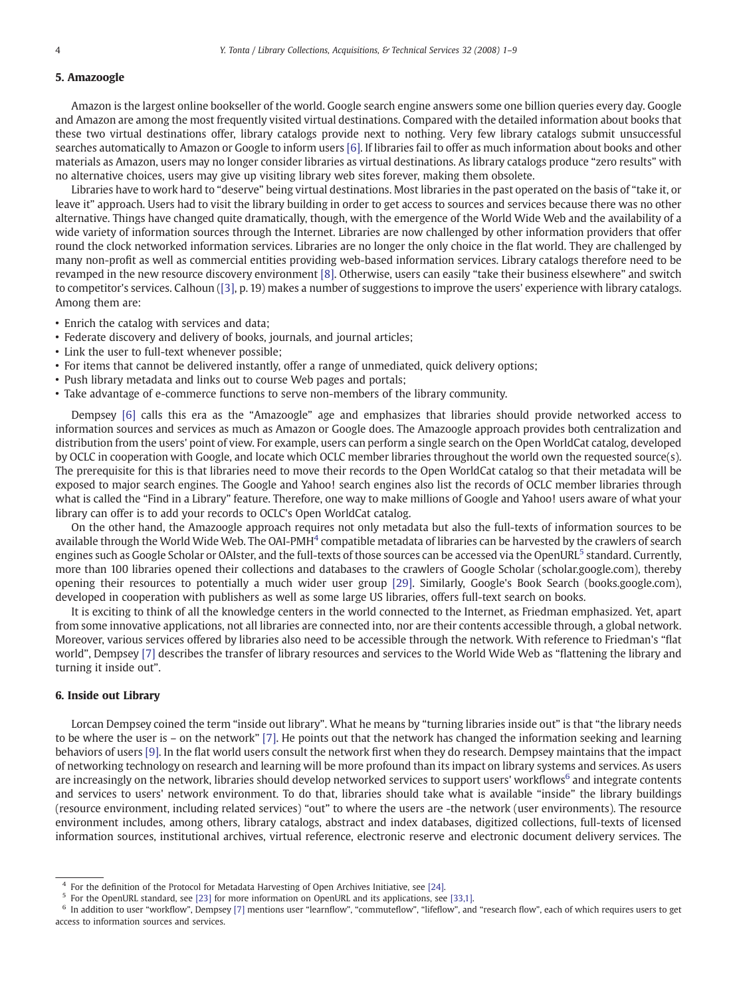#### 5. Amazoogle

Amazon is the largest online bookseller of the world. Google search engine answers some one billion queries every day. Google and Amazon are among the most frequently visited virtual destinations. Compared with the detailed information about books that these two virtual destinations offer, library catalogs provide next to nothing. Very few library catalogs submit unsuccessful searches automatically to Amazon or Google to inform users [\[6\]](#page-7-0). If libraries fail to offer as much information about books and other materials as Amazon, users may no longer consider libraries as virtual destinations. As library catalogs produce "zero results" with no alternative choices, users may give up visiting library web sites forever, making them obsolete.

Libraries have to work hard to "deserve" being virtual destinations. Most libraries in the past operated on the basis of "take it, or leave it" approach. Users had to visit the library building in order to get access to sources and services because there was no other alternative. Things have changed quite dramatically, though, with the emergence of the World Wide Web and the availability of a wide variety of information sources through the Internet. Libraries are now challenged by other information providers that offer round the clock networked information services. Libraries are no longer the only choice in the flat world. They are challenged by many non-profit as well as commercial entities providing web-based information services. Library catalogs therefore need to be revamped in the new resource discovery environment [\[8\].](#page-7-0) Otherwise, users can easily "take their business elsewhere" and switch to competitor's services. Calhoun [\(\[3\],](#page-7-0) p. 19) makes a number of suggestions to improve the users' experience with library catalogs. Among them are:

- Enrich the catalog with services and data;
- Federate discovery and delivery of books, journals, and journal articles;
- Link the user to full-text whenever possible;
- For items that cannot be delivered instantly, offer a range of unmediated, quick delivery options;
- Push library metadata and links out to course Web pages and portals;
- Take advantage of e-commerce functions to serve non-members of the library community.

Dempsey [\[6\]](#page-7-0) calls this era as the "Amazoogle" age and emphasizes that libraries should provide networked access to information sources and services as much as Amazon or Google does. The Amazoogle approach provides both centralization and distribution from the users' point of view. For example, users can perform a single search on the Open WorldCat catalog, developed by OCLC in cooperation with Google, and locate which OCLC member libraries throughout the world own the requested source(s). The prerequisite for this is that libraries need to move their records to the Open WorldCat catalog so that their metadata will be exposed to major search engines. The Google and Yahoo! search engines also list the records of OCLC member libraries through what is called the "Find in a Library" feature. Therefore, one way to make millions of Google and Yahoo! users aware of what your library can offer is to add your records to OCLC's Open WorldCat catalog.

On the other hand, the Amazoogle approach requires not only metadata but also the full-texts of information sources to be available through the World Wide Web. The OAI-PMH<sup>4</sup> compatible metadata of libraries can be harvested by the crawlers of search engines such as Google Scholar or OAIster, and the full-texts of those sources can be accessed via the OpenURL<sup>5</sup> standard. Currently, more than 100 libraries opened their collections and databases to the crawlers of Google Scholar (scholar.google.com), thereby opening their resources to potentially a much wider user group [\[29\].](http://yunus.hacettepe.edu.tr/~tonta/yayinlar/tonta-ab-2006-bilgi-yonetiminde-son-gelismeler.pdf) Similarly, Google's Book Search (books.google.com), developed in cooperation with publishers as well as some large US libraries, offers full-text search on books.

It is exciting to think of all the knowledge centers in the world connected to the Internet, as Friedman emphasized. Yet, apart from some innovative applications, not all libraries are connected into, nor are their contents accessible through, a global network. Moreover, various services offered by libraries also need to be accessible through the network. With reference to Friedman's "flat world", Dempsey [\[7\]](#page-7-0) describes the transfer of library resources and services to the World Wide Web as "flattening the library and turning it inside out".

#### 6. Inside out Library

Lorcan Dempsey coined the term "inside out library". What he means by "turning libraries inside out" is that "the library needs to be where the user is – on the network" [\[7\].](#page-7-0) He points out that the network has changed the information seeking and learning behaviors of users [\[9\]](#page-7-0). In the flat world users consult the network first when they do research. Dempsey maintains that the impact of networking technology on research and learning will be more profound than its impact on library systems and services. As users are increasingly on the network, libraries should develop networked services to support users' workflows<sup>6</sup> and integrate contents and services to users' network environment. To do that, libraries should take what is available "inside" the library buildings (resource environment, including related services) "out" to where the users are -the network (user environments). The resource environment includes, among others, library catalogs, abstract and index databases, digitized collections, full-texts of licensed information sources, institutional archives, virtual reference, electronic reserve and electronic document delivery services. The

<sup>4</sup> For the definition of the Protocol for Metadata Harvesting of Open Archives Initiative, see [\[24\].](#page-8-0)

<sup>5</sup> For the OpenURL standard, see [\[23\]](#page-8-0) for more information on OpenURL and its applications, see [\[33,1\].](#page-8-0)

 $6\,$  In addition to user "workflow", Dempsey [\[7\]](#page-7-0) mentions user "learnflow", "commuteflow", "lifeflow", and "research flow", each of which requires users to get access to information sources and services.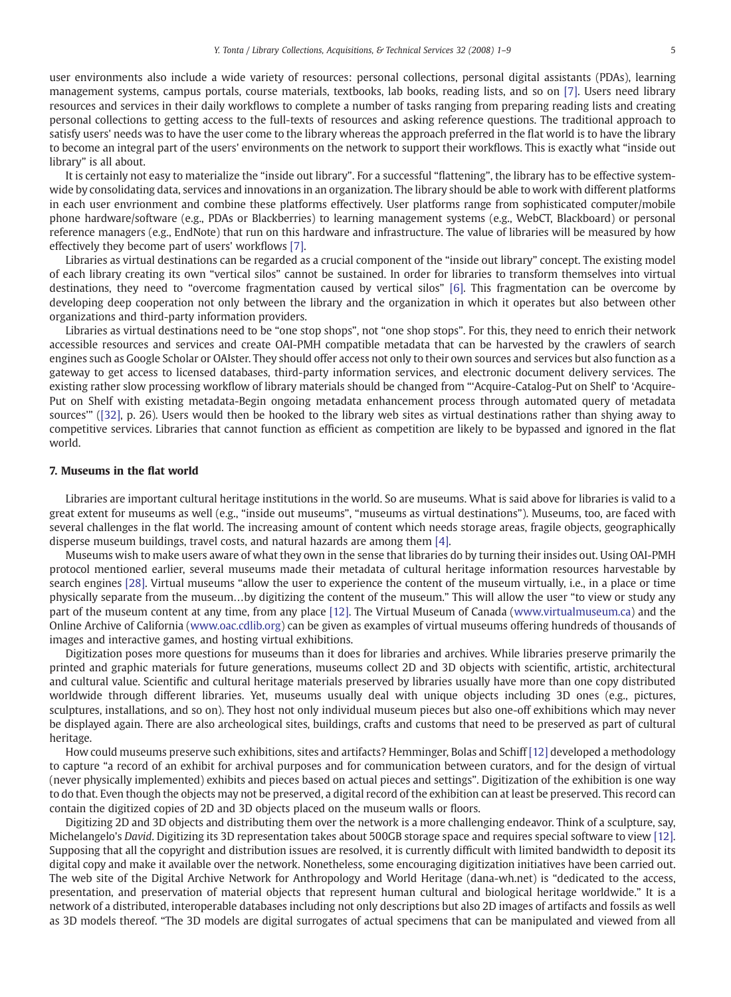user environments also include a wide variety of resources: personal collections, personal digital assistants (PDAs), learning management systems, campus portals, course materials, textbooks, lab books, reading lists, and so on [\[7\]](#page-7-0). Users need library resources and services in their daily workflows to complete a number of tasks ranging from preparing reading lists and creating personal collections to getting access to the full-texts of resources and asking reference questions. The traditional approach to satisfy users' needs was to have the user come to the library whereas the approach preferred in the flat world is to have the library to become an integral part of the users' environments on the network to support their workflows. This is exactly what "inside out library" is all about.

It is certainly not easy to materialize the "inside out library". For a successful "flattening", the library has to be effective systemwide by consolidating data, services and innovations in an organization. The library should be able to work with different platforms in each user envrionment and combine these platforms effectively. User platforms range from sophisticated computer/mobile phone hardware/software (e.g., PDAs or Blackberries) to learning management systems (e.g., WebCT, Blackboard) or personal reference managers (e.g., EndNote) that run on this hardware and infrastructure. The value of libraries will be measured by how effectively they become part of users' workflows [\[7\]](#page-7-0).

Libraries as virtual destinations can be regarded as a crucial component of the "inside out library" concept. The existing model of each library creating its own "vertical silos" cannot be sustained. In order for libraries to transform themselves into virtual destinations, they need to "overcome fragmentation caused by vertical silos" [\[6\].](#page-7-0) This fragmentation can be overcome by developing deep cooperation not only between the library and the organization in which it operates but also between other organizations and third-party information providers.

Libraries as virtual destinations need to be "one stop shops", not "one shop stops". For this, they need to enrich their network accessible resources and services and create OAI-PMH compatible metadata that can be harvested by the crawlers of search engines such as Google Scholar or OAIster. They should offer access not only to their own sources and services but also function as a gateway to get access to licensed databases, third-party information services, and electronic document delivery services. The existing rather slow processing workflow of library materials should be changed from "'Acquire-Catalog-Put on Shelf' to 'Acquire-Put on Shelf with existing metadata-Begin ongoing metadata enhancement process through automated query of metadata sources'" ([\[32\],](http://libraries.universityofcalifornia.edu/sopag/BSTF/Final.pdf) p. 26). Users would then be hooked to the library web sites as virtual destinations rather than shying away to competitive services. Libraries that cannot function as efficient as competition are likely to be bypassed and ignored in the flat world.

#### 7. Museums in the flat world

Libraries are important cultural heritage institutions in the world. So are museums. What is said above for libraries is valid to a great extent for museums as well (e.g., "inside out museums", "museums as virtual destinations"). Museums, too, are faced with several challenges in the flat world. The increasing amount of content which needs storage areas, fragile objects, geographically disperse museum buildings, travel costs, and natural hazards are among them [\[4\]](#page-7-0).

Museums wish to make users aware of what they own in the sense that libraries do by turning their insides out. Using OAI-PMH protocol mentioned earlier, several museums made their metadata of cultural heritage information resources harvestable by search engines [\[28\].](#page-8-0) Virtual museums "allow the user to experience the content of the museum virtually, i.e., in a place or time physically separate from the museum…by digitizing the content of the museum." This will allow the user "to view or study any part of the museum content at any time, from any place [\[12\].](#page-7-0) The Virtual Museum of Canada ([www.virtualmuseum.ca\)](http://www.virtualmuseum.ca) and the Online Archive of California ([www.oac.cdlib.org](http://www.oac.cdlib.org)) can be given as examples of virtual museums offering hundreds of thousands of images and interactive games, and hosting virtual exhibitions.

Digitization poses more questions for museums than it does for libraries and archives. While libraries preserve primarily the printed and graphic materials for future generations, museums collect 2D and 3D objects with scientific, artistic, architectural and cultural value. Scientific and cultural heritage materials preserved by libraries usually have more than one copy distributed worldwide through different libraries. Yet, museums usually deal with unique objects including 3D ones (e.g., pictures, sculptures, installations, and so on). They host not only individual museum pieces but also one-off exhibitions which may never be displayed again. There are also archeological sites, buildings, crafts and customs that need to be preserved as part of cultural heritage.

How could museums preserve such exhibitions, sites and artifacts? Hemminger, Bolas and Schiff [\[12\]](#page-7-0) developed a methodology to capture "a record of an exhibit for archival purposes and for communication between curators, and for the design of virtual (never physically implemented) exhibits and pieces based on actual pieces and settings". Digitization of the exhibition is one way to do that. Even though the objects may not be preserved, a digital record of the exhibition can at least be preserved. This record can contain the digitized copies of 2D and 3D objects placed on the museum walls or floors.

Digitizing 2D and 3D objects and distributing them over the network is a more challenging endeavor. Think of a sculpture, say, Michelangelo's David. Digitizing its 3D representation takes about 500GB storage space and requires special software to view [\[12\]](#page-7-0). Supposing that all the copyright and distribution issues are resolved, it is currently difficult with limited bandwidth to deposit its digital copy and make it available over the network. Nonetheless, some encouraging digitization initiatives have been carried out. The web site of the Digital Archive Network for Anthropology and World Heritage (dana-wh.net) is "dedicated to the access, presentation, and preservation of material objects that represent human cultural and biological heritage worldwide." It is a network of a distributed, interoperable databases including not only descriptions but also 2D images of artifacts and fossils as well as 3D models thereof. "The 3D models are digital surrogates of actual specimens that can be manipulated and viewed from all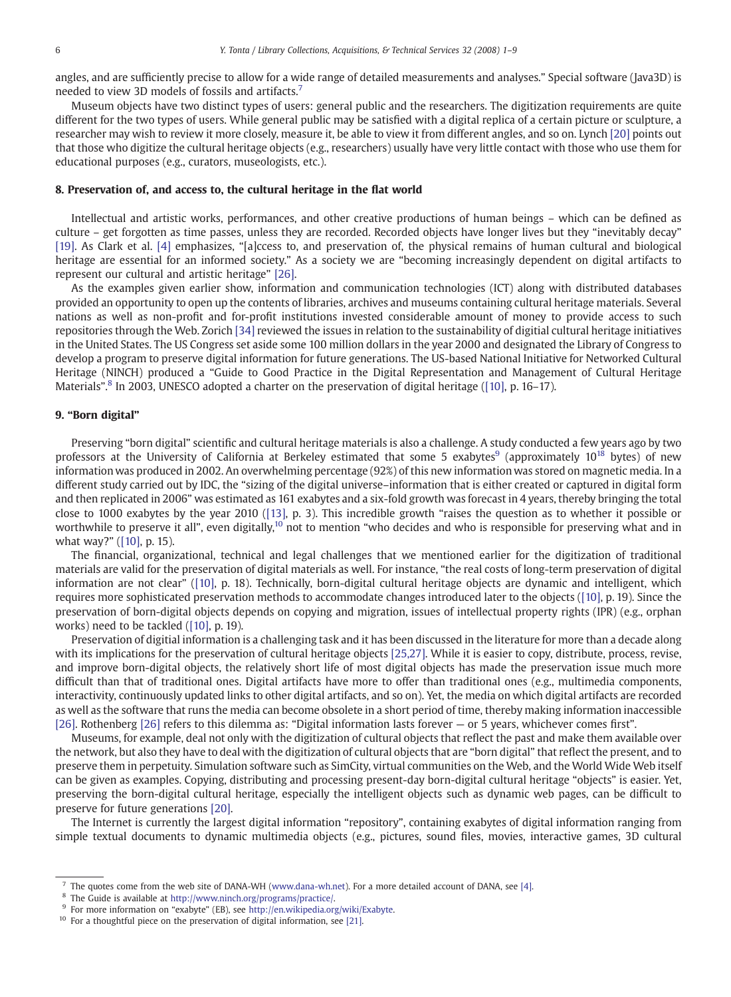angles, and are sufficiently precise to allow for a wide range of detailed measurements and analyses." Special software (Java3D) is needed to view 3D models of fossils and artifacts.<sup>7</sup>

Museum objects have two distinct types of users: general public and the researchers. The digitization requirements are quite different for the two types of users. While general public may be satisfied with a digital replica of a certain picture or sculpture, a researcher may wish to review it more closely, measure it, be able to view it from different angles, and so on. Lynch [\[20\]](#page-8-0) points out that those who digitize the cultural heritage objects (e.g., researchers) usually have very little contact with those who use them for educational purposes (e.g., curators, museologists, etc.).

### 8. Preservation of, and access to, the cultural heritage in the flat world

Intellectual and artistic works, performances, and other creative productions of human beings – which can be defined as culture – get forgotten as time passes, unless they are recorded. Recorded objects have longer lives but they "inevitably decay" [\[19\]](#page-8-0). As Clark et al. [\[4\]](#page-7-0) emphasizes, "[a]ccess to, and preservation of, the physical remains of human cultural and biological heritage are essential for an informed society." As a society we are "becoming increasingly dependent on digital artifacts to represent our cultural and artistic heritage" [\[26\]](#page-8-0).

As the examples given earlier show, information and communication technologies (ICT) along with distributed databases provided an opportunity to open up the contents of libraries, archives and museums containing cultural heritage materials. Several nations as well as non-profit and for-profit institutions invested considerable amount of money to provide access to such repositories through the Web. Zorich [\[34\]](#page-8-0) reviewed the issues in relation to the sustainability of digitial cultural heritage initiatives in the United States. The US Congress set aside some 100 million dollars in the year 2000 and designated the Library of Congress to develop a program to preserve digital information for future generations. The US-based National Initiative for Networked Cultural Heritage (NINCH) produced a "Guide to Good Practice in the Digital Representation and Management of Cultural Heritage Materials".<sup>8</sup> In 2003, UNESCO adopted a charter on the preservation of digital heritage [\(\[10\],](#page-7-0) p. 16–17).

#### 9. "Born digital"

Preserving "born digital" scientific and cultural heritage materials is also a challenge. A study conducted a few years ago by two professors at the University of California at Berkeley estimated that some 5 exabytes<sup>9</sup> (approximately 10<sup>18</sup> bytes) of new information was produced in 2002. An overwhelming percentage (92%) of this new information was stored on magnetic media. In a different study carried out by IDC, the "sizing of the digital universe–information that is either created or captured in digital form and then replicated in 2006" was estimated as 161 exabytes and a six-fold growth was forecast in 4 years, thereby bringing the total close to 1000 exabytes by the year 2010 [\(\[13\],](#page-7-0) p. 3). This incredible growth "raises the question as to whether it possible or worthwhile to preserve it all", even digitally,<sup>10</sup> not to mention "who decides and who is responsible for preserving what and in what way?" ([\[10\]](#page-7-0), p. 15).

The financial, organizational, technical and legal challenges that we mentioned earlier for the digitization of traditional materials are valid for the preservation of digital materials as well. For instance, "the real costs of long-term preservation of digital information are not clear" [\(\[10\],](#page-7-0) p. 18). Technically, born-digital cultural heritage objects are dynamic and intelligent, which requires more sophisticated preservation methods to accommodate changes introduced later to the objects ([\[10\]](#page-7-0), p. 19). Since the preservation of born-digital objects depends on copying and migration, issues of intellectual property rights (IPR) (e.g., orphan works) need to be tackled [\(\[10\]](#page-7-0), p. 19).

Preservation of digitial information is a challenging task and it has been discussed in the literature for more than a decade along with its implications for the preservation of cultural heritage objects [\[25,27\].](#page-8-0) While it is easier to copy, distribute, process, revise, and improve born-digital objects, the relatively short life of most digital objects has made the preservation issue much more difficult than that of traditional ones. Digital artifacts have more to offer than traditional ones (e.g., multimedia components, interactivity, continuously updated links to other digital artifacts, and so on). Yet, the media on which digital artifacts are recorded as well as the software that runs the media can become obsolete in a short period of time, thereby making information inaccessible [\[26\].](#page-8-0) Rothenberg [\[26\]](#page-8-0) refers to this dilemma as: "Digital information lasts forever — or 5 years, whichever comes first".

Museums, for example, deal not only with the digitization of cultural objects that reflect the past and make them available over the network, but also they have to deal with the digitization of cultural objects that are "born digital" that reflect the present, and to preserve them in perpetuity. Simulation software such as SimCity, virtual communities on the Web, and the World Wide Web itself can be given as examples. Copying, distributing and processing present-day born-digital cultural heritage "objects" is easier. Yet, preserving the born-digital cultural heritage, especially the intelligent objects such as dynamic web pages, can be difficult to preserve for future generations [\[20\].](#page-8-0)

The Internet is currently the largest digital information "repository", containing exabytes of digital information ranging from simple textual documents to dynamic multimedia objects (e.g., pictures, sound files, movies, interactive games, 3D cultural

<sup>7</sup> The quotes come from the web site of DANA-WH ([www.dana-wh.net](http://www.dana-wh.net)). For a more detailed account of DANA, see [\[4\].](#page-7-0)

<sup>8</sup> The Guide is available at <http://www.ninch.org/programs/practice/>.

<sup>9</sup> For more information on "exabyte" (EB), see [http://en.wikipedia.org/wiki/Exabyte.](http://en.wikipedia.org/wiki/Exabyte)

 $10$  For a thoughtful piece on the preservation of digital information, see [\[21\]](#page-8-0).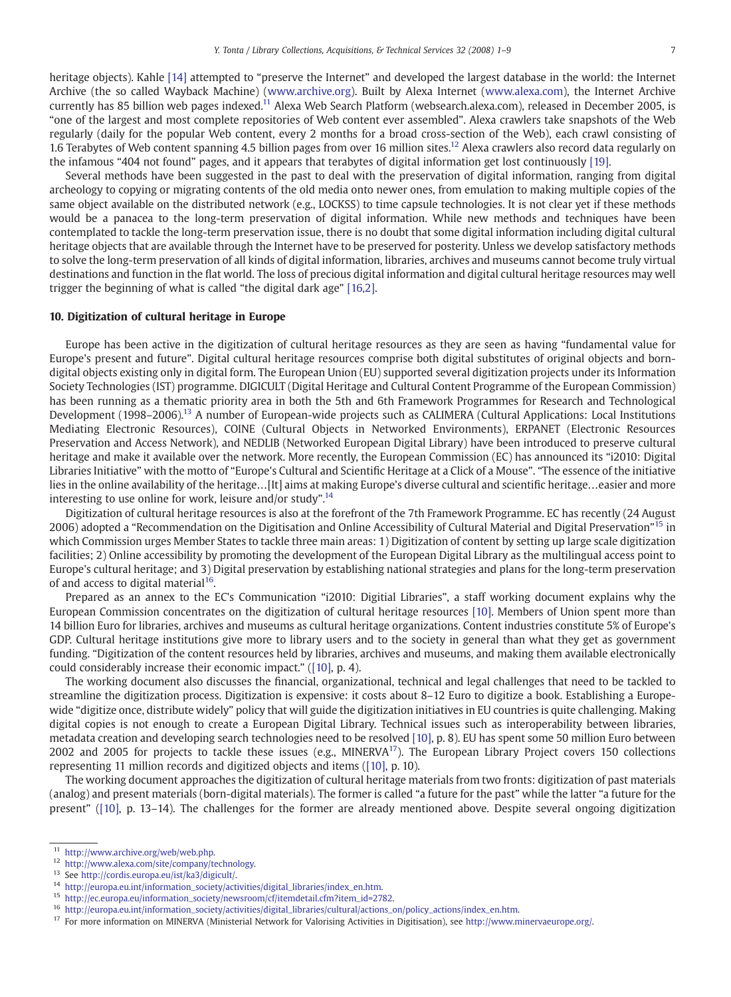heritage objects). Kahle [\[14\]](#page-7-0) attempted to "preserve the Internet" and developed the largest database in the world: the Internet Archive (the so called Wayback Machine) [\(www.archive.org](http://www.archive.org)). Built by Alexa Internet [\(www.alexa.com](http://www.alexa.com)), the Internet Archive currently has 85 billion web pages indexed.<sup>11</sup> Alexa Web Search Platform (websearch.alexa.com), released in December 2005, is "one of the largest and most complete repositories of Web content ever assembled". Alexa crawlers take snapshots of the Web regularly (daily for the popular Web content, every 2 months for a broad cross-section of the Web), each crawl consisting of 1.6 Terabytes of Web content spanning 4.5 billion pages from over 16 million sites.<sup>12</sup> Alexa crawlers also record data regularly on the infamous "404 not found" pages, and it appears that terabytes of digital information get lost continuously [\[19\]](#page-8-0).

Several methods have been suggested in the past to deal with the preservation of digital information, ranging from digital archeology to copying or migrating contents of the old media onto newer ones, from emulation to making multiple copies of the same object available on the distributed network (e.g., LOCKSS) to time capsule technologies. It is not clear yet if these methods would be a panacea to the long-term preservation of digital information. While new methods and techniques have been contemplated to tackle the long-term preservation issue, there is no doubt that some digital information including digital cultural heritage objects that are available through the Internet have to be preserved for posterity. Unless we develop satisfactory methods to solve the long-term preservation of all kinds of digital information, libraries, archives and museums cannot become truly virtual destinations and function in the flat world. The loss of precious digital information and digital cultural heritage resources may well trigger the beginning of what is called "the digital dark age" [\[16,2\]](#page-8-0).

#### 10. Digitization of cultural heritage in Europe

Europe has been active in the digitization of cultural heritage resources as they are seen as having "fundamental value for Europe's present and future". Digital cultural heritage resources comprise both digital substitutes of original objects and borndigital objects existing only in digital form. The European Union (EU) supported several digitization projects under its Information Society Technologies (IST) programme. DIGICULT (Digital Heritage and Cultural Content Programme of the European Commission) has been running as a thematic priority area in both the 5th and 6th Framework Programmes for Research and Technological Development (1998–2006).<sup>13</sup> A number of European-wide projects such as CALIMERA (Cultural Applications: Local Institutions Mediating Electronic Resources), COINE (Cultural Objects in Networked Environments), ERPANET (Electronic Resources Preservation and Access Network), and NEDLIB (Networked European Digital Library) have been introduced to preserve cultural heritage and make it available over the network. More recently, the European Commission (EC) has announced its "i2010: Digital Libraries Initiative" with the motto of "Europe's Cultural and Scientific Heritage at a Click of a Mouse". "The essence of the initiative lies in the online availability of the heritage…[It] aims at making Europe's diverse cultural and scientific heritage…easier and more interesting to use online for work, leisure and/or study".<sup>14</sup>

Digitization of cultural heritage resources is also at the forefront of the 7th Framework Programme. EC has recently (24 August 2006) adopted a "Recommendation on the Digitisation and Online Accessibility of Cultural Material and Digital Preservation"<sup>15</sup> in which Commission urges Member States to tackle three main areas: 1) Digitization of content by setting up large scale digitization facilities; 2) Online accessibility by promoting the development of the European Digital Library as the multilingual access point to Europe's cultural heritage; and 3) Digital preservation by establishing national strategies and plans for the long-term preservation of and access to digital material $16$ .

Prepared as an annex to the EC's Communication "i2010: Digitial Libraries", a staff working document explains why the European Commission concentrates on the digitization of cultural heritage resources [\[10\].](#page-7-0) Members of Union spent more than 14 billion Euro for libraries, archives and museums as cultural heritage organizations. Content industries constitute 5% of Europe's GDP. Cultural heritage institutions give more to library users and to the society in general than what they get as government funding. "Digitization of the content resources held by libraries, archives and museums, and making them available electronically could considerably increase their economic impact." [\(\[10\],](#page-7-0) p. 4).

The working document also discusses the financial, organizational, technical and legal challenges that need to be tackled to streamline the digitization process. Digitization is expensive: it costs about 8–12 Euro to digitize a book. Establishing a Europewide "digitize once, distribute widely" policy that will guide the digitization initiatives in EU countries is quite challenging. Making digital copies is not enough to create a European Digital Library. Technical issues such as interoperability between libraries, metadata creation and developing search technologies need to be resolved [\[10\]](#page-7-0), p. 8). EU has spent some 50 million Euro between 2002 and 2005 for projects to tackle these issues (e.g., MINERVA<sup>17</sup>). The European Library Project covers 150 collections representing 11 million records and digitized objects and items ([\[10\],](#page-7-0) p. 10).

The working document approaches the digitization of cultural heritage materials from two fronts: digitization of past materials (analog) and present materials (born-digital materials). The former is called "a future for the past" while the latter "a future for the present" [\(\[10\],](#page-7-0) p. 13–14). The challenges for the former are already mentioned above. Despite several ongoing digitization

<sup>11</sup> [http://www.archive.org/web/web.php.](http://www.archive.org/web/web.php)

<sup>12</sup> <http://www.alexa.com/site/company/technology>.

<sup>13</sup> See <http://cordis.europa.eu/ist/ka3/digicult/>.

<sup>14</sup> [http://europa.eu.int/information\\_society/activities/digital\\_libraries/index\\_en.htm.](http://europa.eu.int/information_society/activities/digital_libraries/index_en.htm)

<sup>15</sup> [http://ec.europa.eu/information\\_society/newsroom/cf/itemdetail.cfm?item\\_id=2782](http://ec.europa.eu/information_society/newsroom/cf/itemdetail.cfm?item_id=2782).

<sup>16</sup> [http://europa.eu.int/information\\_society/activities/digital\\_libraries/cultural/actions\\_on/policy\\_actions/index\\_en.htm.](http://europa.eu.int/information_society/activities/digital_libraries/cultural/actions_on/policy_actions/index_en.htm)

<sup>17</sup> For more information on MINERVA (Ministerial Network for Valorising Activities in Digitisation), see [http://www.minervaeurope.org/.](http://www.minervaeurope.org/)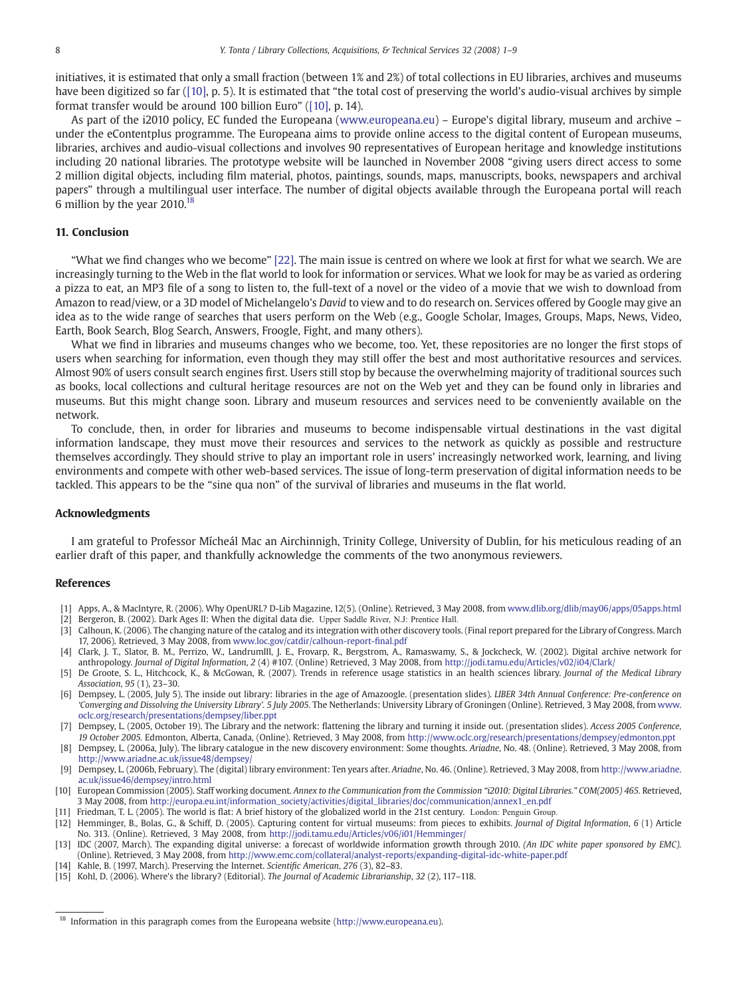<span id="page-7-0"></span>initiatives, it is estimated that only a small fraction (between 1% and 2%) of total collections in EU libraries, archives and museums have been digitized so far ([10], p. 5). It is estimated that "the total cost of preserving the world's audio-visual archives by simple format transfer would be around 100 billion Euro" ([10], p. 14).

As part of the i2010 policy, EC funded the Europeana [\(www.europeana.eu\)](http://www.europeana.eu) – Europe's digital library, museum and archive – under the eContentplus programme. The Europeana aims to provide online access to the digital content of European museums, libraries, archives and audio-visual collections and involves 90 representatives of European heritage and knowledge institutions including 20 national libraries. The prototype website will be launched in November 2008 "giving users direct access to some 2 million digital objects, including film material, photos, paintings, sounds, maps, manuscripts, books, newspapers and archival papers" through a multilingual user interface. The number of digital objects available through the Europeana portal will reach 6 million by the year 2010.18

#### 11. Conclusion

"What we find changes who we become" [\[22\].](#page-8-0) The main issue is centred on where we look at first for what we search. We are increasingly turning to the Web in the flat world to look for information or services. What we look for may be as varied as ordering a pizza to eat, an MP3 file of a song to listen to, the full-text of a novel or the video of a movie that we wish to download from Amazon to read/view, or a 3D model of Michelangelo's David to view and to do research on. Services offered by Google may give an idea as to the wide range of searches that users perform on the Web (e.g., Google Scholar, Images, Groups, Maps, News, Video, Earth, Book Search, Blog Search, Answers, Froogle, Fight, and many others).

What we find in libraries and museums changes who we become, too. Yet, these repositories are no longer the first stops of users when searching for information, even though they may still offer the best and most authoritative resources and services. Almost 90% of users consult search engines first. Users still stop by because the overwhelming majority of traditional sources such as books, local collections and cultural heritage resources are not on the Web yet and they can be found only in libraries and museums. But this might change soon. Library and museum resources and services need to be conveniently available on the network.

To conclude, then, in order for libraries and museums to become indispensable virtual destinations in the vast digital information landscape, they must move their resources and services to the network as quickly as possible and restructure themselves accordingly. They should strive to play an important role in users' increasingly networked work, learning, and living environments and compete with other web-based services. The issue of long-term preservation of digital information needs to be tackled. This appears to be the "sine qua non" of the survival of libraries and museums in the flat world.

#### Acknowledgments

I am grateful to Professor Mícheál Mac an Airchinnigh, Trinity College, University of Dublin, for his meticulous reading of an earlier draft of this paper, and thankfully acknowledge the comments of the two anonymous reviewers.

#### References

- [1] Apps, A., & MacIntyre, R. (2006). Why OpenURL? D-Lib Magazine, 12(5). (Online). Retrieved, 3 May 2008, from [www.dlib.org/dlib/may06/apps/05apps.html](http://www.dlib.org/dlib/may06/apps/05apps.html)
- [2] Bergeron, B. (2002). Dark Ages II: When the digital data die. Upper Saddle River, N.J: Prentice Hall. [3] Calhoun, K. (2006). The changing nature of the catalog and its integration with other discovery tools. (Final report prepared for the Library of Congress. March 17, 2006). Retrieved, 3 May 2008, from [www.loc.gov/catdir/calhoun-report-](http://www.loc.gov/catdir/calhoun-report-final.pdf)final.pdf
- [4] Clark, J. T., Slator, B. M., Perrizo, W., LandrumIII, J. E., Frovarp, R., Bergstrom, A., Ramaswamy, S., & Jockcheck, W. (2002). Digital archive network for anthropology. Journal of Digital Information, 2 (4) #107. (Online) Retrieved, 3 May 2008, from <http://jodi.tamu.edu/Articles/v02/i04/Clark/>
- [5] De Groote, S. L., Hitchcock, K., & McGowan, R. (2007). Trends in reference usage statistics in an health sciences library. Journal of the Medical Library Association, 95 (1), 23–30.
- [6] Dempsey, L. (2005, July 5). The inside out library: libraries in the age of Amazoogle. (presentation slides). LIBER 34th Annual Conference: Pre-conference on 'Converging and Dissolving the University Library'. 5 July 2005. The Netherlands: University Library of Groningen (Online). Retrieved, 3 May 2008, from [www.](http://www.oclc.org/research/presentations/dempsey/liber.ppt) [oclc.org/research/presentations/dempsey/liber.ppt](http://www.oclc.org/research/presentations/dempsey/liber.ppt)
- [7] Dempsey, L. (2005, October 19). The Library and the network: flattening the library and turning it inside out. (presentation slides). Access 2005 Conference, 19 October 2005. Edmonton, Alberta, Canada, (Online). Retrieved, 3 May 2008, from <http://www.oclc.org/research/presentations/dempsey/edmonton.ppt>
- [8] Dempsey, L. (2006a, July). The library catalogue in the new discovery environment: Some thoughts. Ariadne, No. 48. (Online). Retrieved, 3 May 2008, from <http://www.ariadne.ac.uk/issue48/dempsey/>
- [9] Dempsey, L. (2006b, February). The (digital) library environment: Ten years after. Ariadne, No. 46. (Online). Retrieved, 3 May 2008, from [http://www.ariadne.](http://www.ariadne.ac.uk/issue46/dempsey/intro.html) [ac.uk/issue46/dempsey/intro.html](http://www.ariadne.ac.uk/issue46/dempsey/intro.html)
- [10] European Commission (2005). Staff working document. Annex to the Communication from the Commission "i2010: Digital Libraries." COM(2005) 465. Retrieved, 3 May 2008, from [http://europa.eu.int/information\\_society/activities/digital\\_libraries/doc/communication/annex1\\_en.pdf](http://europa.eu.int/information_society/activities/digital_libraries/doc/communication/annex1_en.pdf)
- Friedman, T. L. (2005). The world is flat: A brief history of the globalized world in the 21st century. London: Penguin Group
- [12] Hemminger, B., Bolas, G., & Schiff, D. (2005). Capturing content for virtual museums: from pieces to exhibits. Journal of Digital Information, 6 (1) Article No. 313. (Online). Retrieved, 3 May 2008, from <http://jodi.tamu.edu/Articles/v06/i01/Hemminger/>
- [13] IDC (2007, March). The expanding digital universe: a forecast of worldwide information growth through 2010. (An IDC white paper sponsored by EMC). (Online). Retrieved, 3 May 2008, from <http://www.emc.com/collateral/analyst-reports/expanding-digital-idc-white-paper.pdf>
- [14] Kahle, B. (1997, March). Preserving the Internet. Scientific American, 276 (3), 82-83.
- [15] Kohl, D. (2006). Where's the library? (Editorial). The Journal of Academic Librarianship, 32 (2), 117–118.

<sup>&</sup>lt;sup>18</sup> Information in this paragraph comes from the Europeana website (<http://www.europeana.eu>).